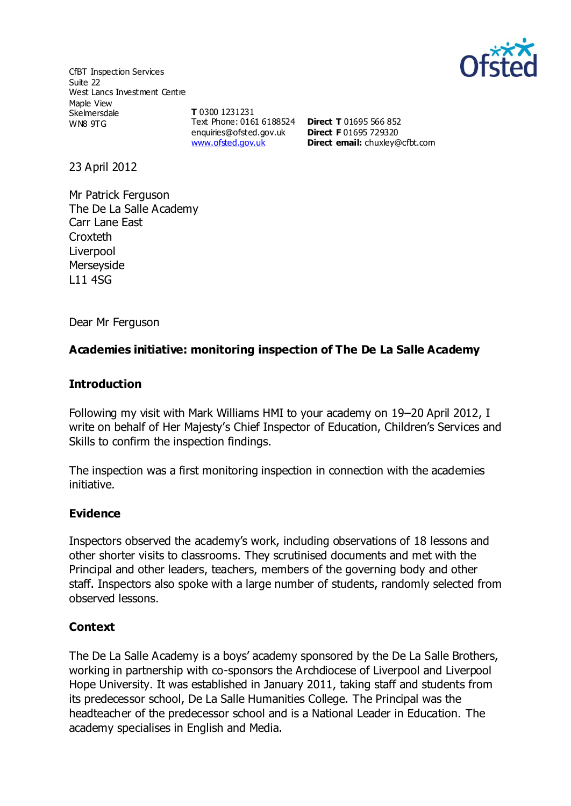

CfBT Inspection Services Suite 22 West Lancs Investment Centre Maple View **Skelmersdale** WN8 9TG

**T** 0300 1231231 Text Phone: 0161 6188524 **Direct T** 01695 566 852 [enquiries@ofsted.gov.uk](http://mailto:enquiries@ofsted.gov.uk/) [www.ofsted.gov.uk](http://www.ofsted.gov.uk/)

**Direct F** 01695 729320 **Direct email:** [chuxley@cfbt.com](file:///C:/Users/mmurphy1/AppData/Local/Microsoft/Windows/Temporary%20Internet%20Files/OLK7CB1/chuxley@cfbt.com)

23 April 2012

Mr Patrick Ferguson The De La Salle Academy Carr Lane East **Croxteth** Liverpool Merseyside L11 4SG

Dear Mr Ferguson

## **Academies initiative: monitoring inspection of The De La Salle Academy**

#### **Introduction**

Following my visit with Mark Williams HMI to your academy on 19–20 April 2012, I write on behalf of Her Majesty's Chief Inspector of Education, Children's Services and Skills to confirm the inspection findings.

The inspection was a first monitoring inspection in connection with the academies initiative.

### **Evidence**

Inspectors observed the academy's work, including observations of 18 lessons and other shorter visits to classrooms. They scrutinised documents and met with the Principal and other leaders, teachers, members of the governing body and other staff. Inspectors also spoke with a large number of students, randomly selected from observed lessons.

### **Context**

The De La Salle Academy is a boys' academy sponsored by the De La Salle Brothers, working in partnership with co-sponsors the Archdiocese of Liverpool and Liverpool Hope University. It was established in January 2011, taking staff and students from its predecessor school, De La Salle Humanities College. The Principal was the headteacher of the predecessor school and is a National Leader in Education. The academy specialises in English and Media.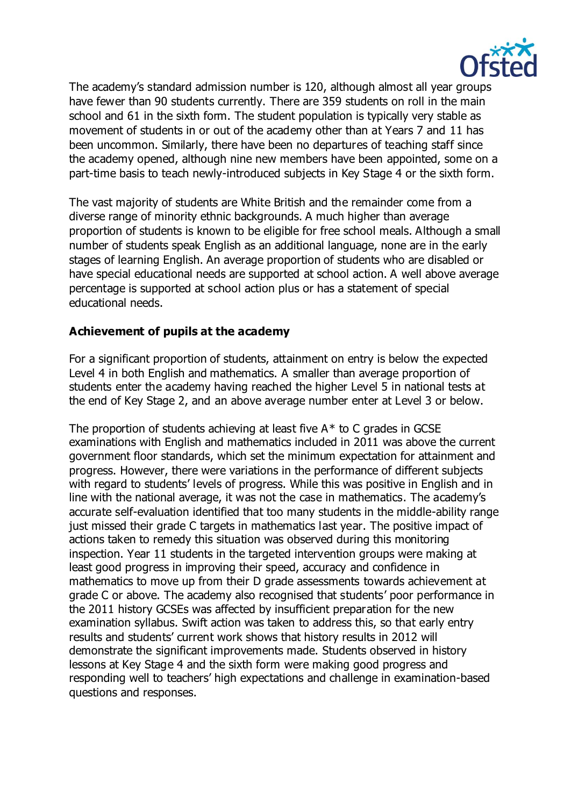

The academy's standard admission number is 120, although almost all year groups have fewer than 90 students currently. There are 359 students on roll in the main school and 61 in the sixth form. The student population is typically very stable as movement of students in or out of the academy other than at Years 7 and 11 has been uncommon. Similarly, there have been no departures of teaching staff since the academy opened, although nine new members have been appointed, some on a part-time basis to teach newly-introduced subjects in Key Stage 4 or the sixth form.

The vast majority of students are White British and the remainder come from a diverse range of minority ethnic backgrounds. A much higher than average proportion of students is known to be eligible for free school meals. Although a small number of students speak English as an additional language, none are in the early stages of learning English. An average proportion of students who are disabled or have special educational needs are supported at school action. A well above average percentage is supported at school action plus or has a statement of special educational needs.

## **Achievement of pupils at the academy**

For a significant proportion of students, attainment on entry is below the expected Level 4 in both English and mathematics. A smaller than average proportion of students enter the academy having reached the higher Level 5 in national tests at the end of Key Stage 2, and an above average number enter at Level 3 or below.

The proportion of students achieving at least five  $A^*$  to C grades in GCSE examinations with English and mathematics included in 2011 was above the current government floor standards, which set the minimum expectation for attainment and progress. However, there were variations in the performance of different subjects with regard to students' levels of progress. While this was positive in English and in line with the national average, it was not the case in mathematics. The academy's accurate self-evaluation identified that too many students in the middle-ability range just missed their grade C targets in mathematics last year. The positive impact of actions taken to remedy this situation was observed during this monitoring inspection. Year 11 students in the targeted intervention groups were making at least good progress in improving their speed, accuracy and confidence in mathematics to move up from their D grade assessments towards achievement at grade C or above. The academy also recognised that students' poor performance in the 2011 history GCSEs was affected by insufficient preparation for the new examination syllabus. Swift action was taken to address this, so that early entry results and students' current work shows that history results in 2012 will demonstrate the significant improvements made. Students observed in history lessons at Key Stage 4 and the sixth form were making good progress and responding well to teachers' high expectations and challenge in examination-based questions and responses.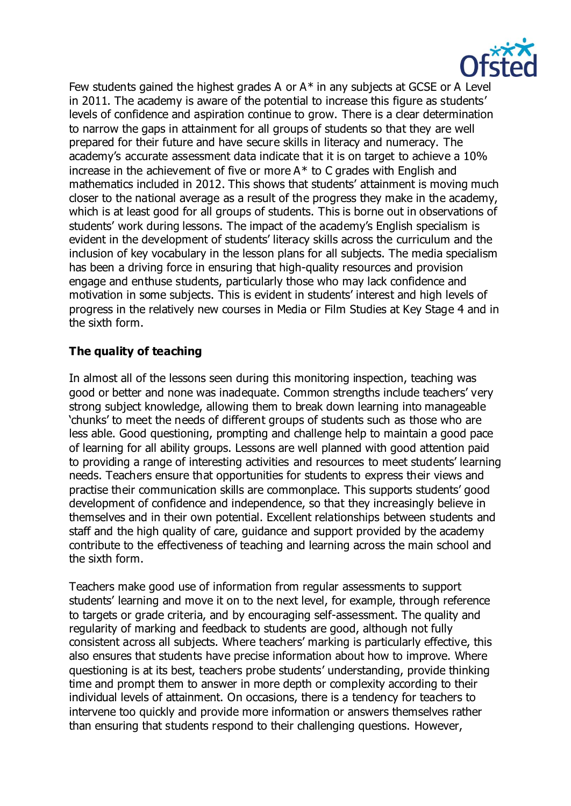

Few students gained the highest grades A or A\* in any subjects at GCSE or A Level in 2011. The academy is aware of the potential to increase this figure as students' levels of confidence and aspiration continue to grow. There is a clear determination to narrow the gaps in attainment for all groups of students so that they are well prepared for their future and have secure skills in literacy and numeracy. The academy's accurate assessment data indicate that it is on target to achieve a 10% increase in the achievement of five or more  $A^*$  to C grades with English and mathematics included in 2012. This shows that students' attainment is moving much closer to the national average as a result of the progress they make in the academy, which is at least good for all groups of students. This is borne out in observations of students' work during lessons. The impact of the academy's English specialism is evident in the development of students' literacy skills across the curriculum and the inclusion of key vocabulary in the lesson plans for all subjects. The media specialism has been a driving force in ensuring that high-quality resources and provision engage and enthuse students, particularly those who may lack confidence and motivation in some subjects. This is evident in students' interest and high levels of progress in the relatively new courses in Media or Film Studies at Key Stage 4 and in the sixth form.

# **The quality of teaching**

In almost all of the lessons seen during this monitoring inspection, teaching was good or better and none was inadequate. Common strengths include teachers' very strong subject knowledge, allowing them to break down learning into manageable 'chunks' to meet the needs of different groups of students such as those who are less able. Good questioning, prompting and challenge help to maintain a good pace of learning for all ability groups. Lessons are well planned with good attention paid to providing a range of interesting activities and resources to meet students' learning needs. Teachers ensure that opportunities for students to express their views and practise their communication skills are commonplace. This supports students' good development of confidence and independence, so that they increasingly believe in themselves and in their own potential. Excellent relationships between students and staff and the high quality of care, guidance and support provided by the academy contribute to the effectiveness of teaching and learning across the main school and the sixth form.

Teachers make good use of information from regular assessments to support students' learning and move it on to the next level, for example, through reference to targets or grade criteria, and by encouraging self-assessment. The quality and regularity of marking and feedback to students are good, although not fully consistent across all subjects. Where teachers' marking is particularly effective, this also ensures that students have precise information about how to improve. Where questioning is at its best, teachers probe students' understanding, provide thinking time and prompt them to answer in more depth or complexity according to their individual levels of attainment. On occasions, there is a tendency for teachers to intervene too quickly and provide more information or answers themselves rather than ensuring that students respond to their challenging questions. However,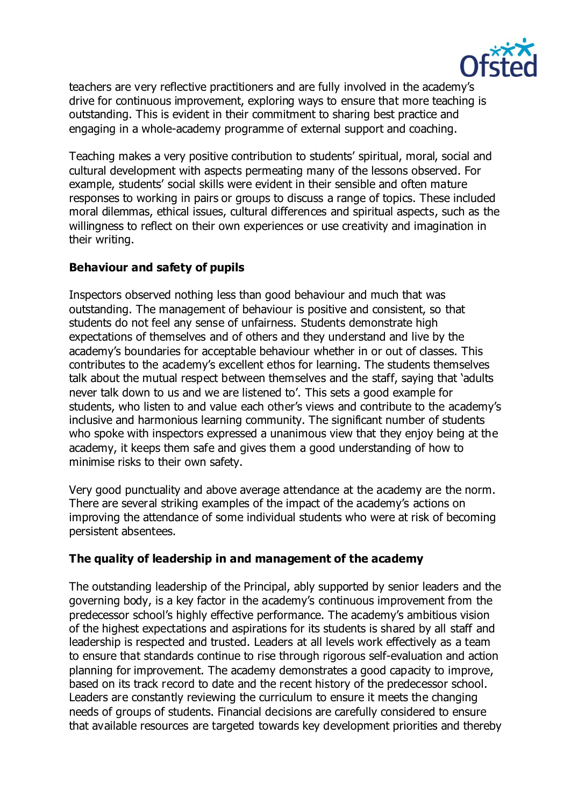

teachers are very reflective practitioners and are fully involved in the academy's drive for continuous improvement, exploring ways to ensure that more teaching is outstanding. This is evident in their commitment to sharing best practice and engaging in a whole-academy programme of external support and coaching.

Teaching makes a very positive contribution to students' spiritual, moral, social and cultural development with aspects permeating many of the lessons observed. For example, students' social skills were evident in their sensible and often mature responses to working in pairs or groups to discuss a range of topics. These included moral dilemmas, ethical issues, cultural differences and spiritual aspects, such as the willingness to reflect on their own experiences or use creativity and imagination in their writing.

# **Behaviour and safety of pupils**

Inspectors observed nothing less than good behaviour and much that was outstanding. The management of behaviour is positive and consistent, so that students do not feel any sense of unfairness. Students demonstrate high expectations of themselves and of others and they understand and live by the academy's boundaries for acceptable behaviour whether in or out of classes. This contributes to the academy's excellent ethos for learning. The students themselves talk about the mutual respect between themselves and the staff, saying that 'adults never talk down to us and we are listened to'. This sets a good example for students, who listen to and value each other's views and contribute to the academy's inclusive and harmonious learning community. The significant number of students who spoke with inspectors expressed a unanimous view that they enjoy being at the academy, it keeps them safe and gives them a good understanding of how to minimise risks to their own safety.

Very good punctuality and above average attendance at the academy are the norm. There are several striking examples of the impact of the academy's actions on improving the attendance of some individual students who were at risk of becoming persistent absentees.

### **The quality of leadership in and management of the academy**

The outstanding leadership of the Principal, ably supported by senior leaders and the governing body, is a key factor in the academy's continuous improvement from the predecessor school's highly effective performance. The academy's ambitious vision of the highest expectations and aspirations for its students is shared by all staff and leadership is respected and trusted. Leaders at all levels work effectively as a team to ensure that standards continue to rise through rigorous self-evaluation and action planning for improvement. The academy demonstrates a good capacity to improve, based on its track record to date and the recent history of the predecessor school. Leaders are constantly reviewing the curriculum to ensure it meets the changing needs of groups of students. Financial decisions are carefully considered to ensure that available resources are targeted towards key development priorities and thereby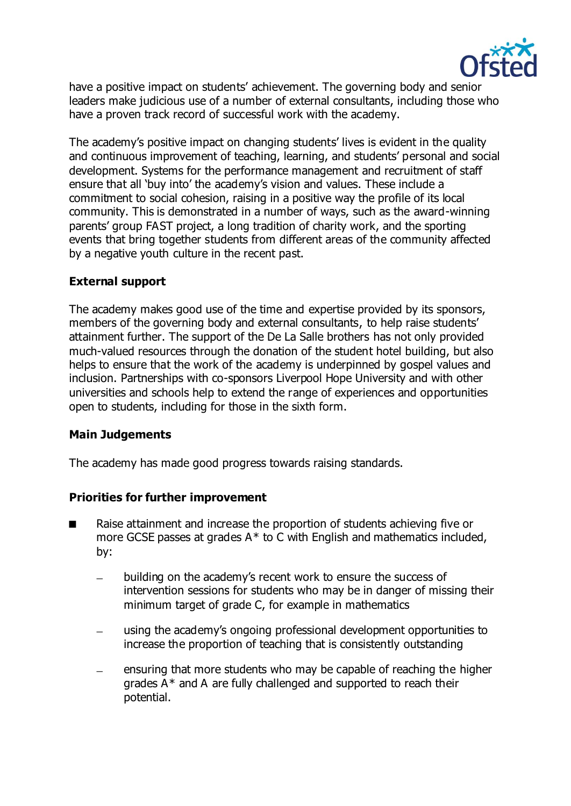

have a positive impact on students' achievement. The governing body and senior leaders make judicious use of a number of external consultants, including those who have a proven track record of successful work with the academy.

The academy's positive impact on changing students' lives is evident in the quality and continuous improvement of teaching, learning, and students' personal and social development. Systems for the performance management and recruitment of staff ensure that all 'buy into' the academy's vision and values. These include a commitment to social cohesion, raising in a positive way the profile of its local community. This is demonstrated in a number of ways, such as the award-winning parents' group FAST project, a long tradition of charity work, and the sporting events that bring together students from different areas of the community affected by a negative youth culture in the recent past.

## **External support**

The academy makes good use of the time and expertise provided by its sponsors, members of the governing body and external consultants, to help raise students' attainment further. The support of the De La Salle brothers has not only provided much-valued resources through the donation of the student hotel building, but also helps to ensure that the work of the academy is underpinned by gospel values and inclusion. Partnerships with co-sponsors Liverpool Hope University and with other universities and schools help to extend the range of experiences and opportunities open to students, including for those in the sixth form.

### **Main Judgements**

The academy has made good progress towards raising standards.

### **Priorities for further improvement**

- Raise attainment and increase the proportion of students achieving five or more GCSE passes at grades A\* to C with English and mathematics included, by:
	- building on the academy's recent work to ensure the success of intervention sessions for students who may be in danger of missing their minimum target of grade C, for example in mathematics
	- using the academy's ongoing professional development opportunities to increase the proportion of teaching that is consistently outstanding
	- ensuring that more students who may be capable of reaching the higher grades A\* and A are fully challenged and supported to reach their potential.